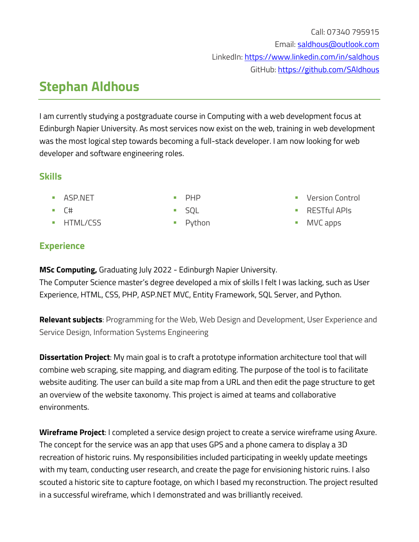# **Stephan Aldhous**

I am currently studying a postgraduate course in Computing with a web development focus at Edinburgh Napier University. As most services now exist on the web, training in web development was the most logical step towards becoming a full-stack developer. I am now looking for web developer and software engineering roles.

## **Skills**

■ ASP.NET

▪ PHP

- C#
- **HTML/CSS**
- SQL
- Python
- Version Control
- RESTful APIs
- MVC apps

# **Experience**

**MSc Computing,** Graduating July 2022 - Edinburgh Napier University.

The Computer Science master's degree developed a mix of skills I felt I was lacking, such as User Experience, HTML, CSS, PHP, ASP.NET MVC, Entity Framework, SQL Server, and Python.

**Relevant subjects**: Programming for the Web, Web Design and Development, User Experience and Service Design, Information Systems Engineering

**Dissertation Project**: My main goal is to craft a prototype information architecture tool that will combine web scraping, site mapping, and diagram editing. The purpose of the tool is to facilitate website auditing. The user can build a site map from a URL and then edit the page structure to get an overview of the website taxonomy. This project is aimed at teams and collaborative environments.

**Wireframe Project**: I completed a service design project to create a service wireframe using Axure. The concept for the service was an app that uses GPS and a phone camera to display a 3D recreation of historic ruins. My responsibilities included participating in weekly update meetings with my team, conducting user research, and create the page for envisioning historic ruins. I also scouted a historic site to capture footage, on which I based my reconstruction. The project resulted in a successful wireframe, which I demonstrated and was brilliantly received.